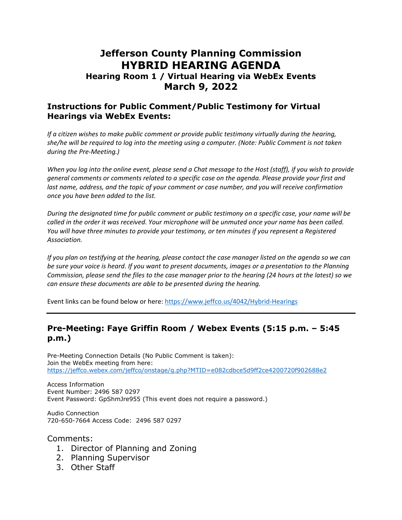# **Jefferson County Planning Commission HYBRID HEARING AGENDA**

#### **Hearing Room 1 / Virtual Hearing via WebEx Events March 9, 2022**

#### **Instructions for Public Comment/Public Testimony for Virtual Hearings via WebEx Events:**

*If a citizen wishes to make public comment or provide public testimony virtually during the hearing,* she/he will be required to log into the meeting using a computer. (Note: Public Comment is not taken *during the Pre‐Meeting.)*

When you log into the online event, please send a Chat message to the Host (staff), if you wish to provide *general comments or comments related to a specific case on the agenda. Please provide your first and last name, address, and the topic of your comment or case number, and you will receive confirmation once you have been added to the list.* 

During the designated time for public comment or public testimony on a specific case, your name will be called in the order it was received. Your microphone will be unmuted once your name has been called. *You will have three minutes to provide your testimony, or ten minutes if you represent a Registered Association.*

If you plan on testifying at the hearing, please contact the case manager listed on the agenda so we can be sure your voice is heard. If you want to present documents, images or a presentation to the Planning Commission, please send the files to the case manager prior to the hearing (24 hours at the latest) so we *can ensure these documents are able to be presented during the hearing.*

Event links can be found below or here: https://www.jeffco.us/4042/Hybrid‐Hearings

#### **Pre-Meeting: Faye Griffin Room / Webex Events (5:15 p.m. – 5:45 p.m.)**

Pre-Meeting Connection Details (No Public Comment is taken): Join the WebEx meeting from here: https://jeffco.webex.com/jeffco/onstage/g.php?MTID=e082cdbce5d9ff2ce4200720f902688e2

Access Information Event Number: 2496 587 0297 Event Password: GpShmJre955 (This event does not require a password.)

Audio Connection 720-650-7664 Access Code: 2496 587 0297

Comments:

- 1. Director of Planning and Zoning
- 2. Planning Supervisor
- 3. Other Staff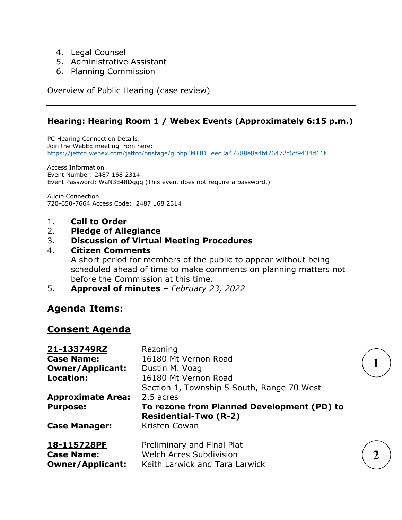- 4. Legal Counsel
- 5. Administrative Assistant
- 6. Planning Commission

Overview of Public Hearing (case review)

### **Hearing: Hearing Room 1 / Webex Events (Approximately 6:15 p.m.)**

PC Hearing Connection Details: Join the WebEx meeting from here: https://jeffco.webex.com/jeffco/onstage/g.php?MTID=eec3a47588e8a4fd76472c6ff9434d11f

Access Information Event Number: 2487 168 2314 Event Password: WaN3E48Dqqq (This event does not require a password.)

Audio Connection 720-650-7664 Access Code: 2487 168 2314

- 1. **Call to Order**
- 2. **Pledge of Allegiance**

#### 3. **Discussion of Virtual Meeting Procedures**

#### 4. **Citizen Comments**

A short period for members of the public to appear without being scheduled ahead of time to make comments on planning matters not before the Commission at this time.

5. **Approval of minutes** *– February 23, 2022* 

# **Agenda Items:**

# **Consent Agenda**

| <u>21-133749RZ</u>       | Rezoning                                   |  |
|--------------------------|--------------------------------------------|--|
| <b>Case Name:</b>        | 16180 Mt Vernon Road                       |  |
| <b>Owner/Applicant:</b>  | Dustin M. Voag                             |  |
| Location:                | 16180 Mt Vernon Road                       |  |
|                          | Section 1, Township 5 South, Range 70 West |  |
| <b>Approximate Area:</b> | 2.5 acres                                  |  |
| <b>Purpose:</b>          | To rezone from Planned Development (PD) to |  |
|                          | <b>Residential-Two (R-2)</b>               |  |
| <b>Case Manager:</b>     | Kristen Cowan                              |  |
| <u>18-115728PF</u>       | Preliminary and Final Plat                 |  |
| <b>Case Name:</b>        | <b>Welch Acres Subdivision</b>             |  |
| <b>Owner/Applicant:</b>  | Keith Larwick and Tara Larwick             |  |

**1** 

**2**